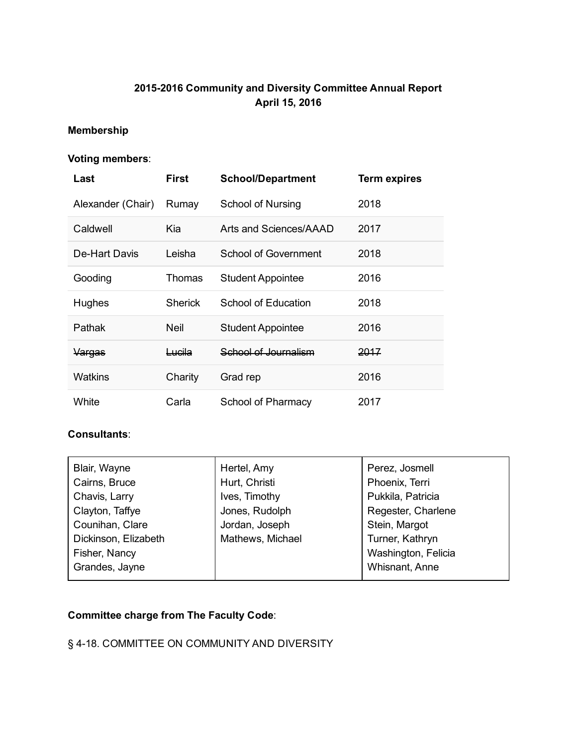# 2015-2016 Community and Diversity Committee Annual Report April 15, 2016

# Membership

# Voting members:

| Last              | First             | <b>School/Department</b> | <b>Term expires</b> |
|-------------------|-------------------|--------------------------|---------------------|
| Alexander (Chair) | Rumay             | School of Nursing        | 2018                |
| Caldwell          | Kia               | Arts and Sciences/AAAD   | 2017                |
| De-Hart Davis     | Leisha            | School of Government     | 2018                |
| Gooding           | Thomas            | <b>Student Appointee</b> | 2016                |
| <b>Hughes</b>     | <b>Sherick</b>    | School of Education      | 2018                |
| Pathak            | <b>Neil</b>       | <b>Student Appointee</b> | 2016                |
| Vargas            | <del>Lucila</del> | School of Journalism     | 2017                |
| Watkins           | Charity           | Grad rep                 | 2016                |
| White             | Carla             | School of Pharmacy       | 2017                |

#### Consultants:

| Blair, Wayne         | Hertel, Amy      | Perez, Josmell      |
|----------------------|------------------|---------------------|
| Cairns, Bruce        | Hurt, Christi    | Phoenix, Terri      |
| Chavis, Larry        | Ives, Timothy    | Pukkila, Patricia   |
| Clayton, Taffye      | Jones, Rudolph   | Regester, Charlene  |
| Counihan, Clare      | Jordan, Joseph   | Stein, Margot       |
| Dickinson, Elizabeth | Mathews, Michael | Turner, Kathryn     |
| Fisher, Nancy        |                  | Washington, Felicia |
| Grandes, Jayne       |                  | Whisnant, Anne      |
|                      |                  |                     |

### Committee charge from The Faculty Code:

# § 4-18. COMMITTEE ON COMMUNITY AND DIVERSITY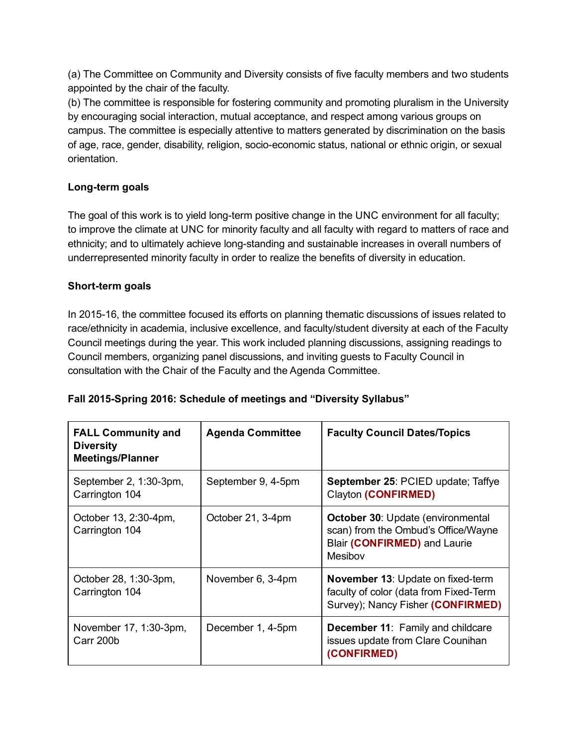(a) The Committee on Community and Diversity consists of five faculty members and two students appointed by the chair of the faculty.

(b) The committee is responsible for fostering community and promoting pluralism in the University by encouraging social interaction, mutual acceptance, and respect among various groups on campus. The committee is especially attentive to matters generated by discrimination on the basis of age, race, gender, disability, religion, socio-economic status, national or ethnic origin, or sexual orientation.

## Long-term goals

The goal of this work is to yield long-term positive change in the UNC environment for all faculty; to improve the climate at UNC for minority faculty and all faculty with regard to matters of race and ethnicity; and to ultimately achieve long-standing and sustainable increases in overall numbers of underrepresented minority faculty in order to realize the benefits of diversity in education.

### Short-term goals

In 2015-16, the committee focused its efforts on planning thematic discussions of issues related to race/ethnicity in academia, inclusive excellence, and faculty/student diversity at each of the Faculty Council meetings during the year. This work included planning discussions, assigning readings to Council members, organizing panel discussions, and inviting guests to Faculty Council in consultation with the Chair of the Faculty and the Agenda Committee.

| <b>FALL Community and</b><br><b>Diversity</b><br><b>Meetings/Planner</b> | <b>Agenda Committee</b> | <b>Faculty Council Dates/Topics</b>                                                                                         |
|--------------------------------------------------------------------------|-------------------------|-----------------------------------------------------------------------------------------------------------------------------|
| September 2, 1:30-3pm,<br>Carrington 104                                 | September 9, 4-5pm      | September 25: PCIED update; Taffye<br>Clayton (CONFIRMED)                                                                   |
| October 13, 2:30-4pm,<br>Carrington 104                                  | October 21, 3-4pm       | <b>October 30: Update (environmental)</b><br>scan) from the Ombud's Office/Wayne<br>Blair (CONFIRMED) and Laurie<br>Mesibov |
| October 28, 1:30-3pm,<br>Carrington 104                                  | November 6, 3-4pm       | <b>November 13: Update on fixed-term</b><br>faculty of color (data from Fixed-Term<br>Survey); Nancy Fisher (CONFIRMED)     |
| November 17, 1:30-3pm,<br>Carr 200b                                      | December 1, 4-5pm       | December 11: Family and childcare<br>issues update from Clare Counihan<br>(CONFIRMED)                                       |

# Fall 2015-Spring 2016: Schedule of meetings and "Diversity Syllabus"